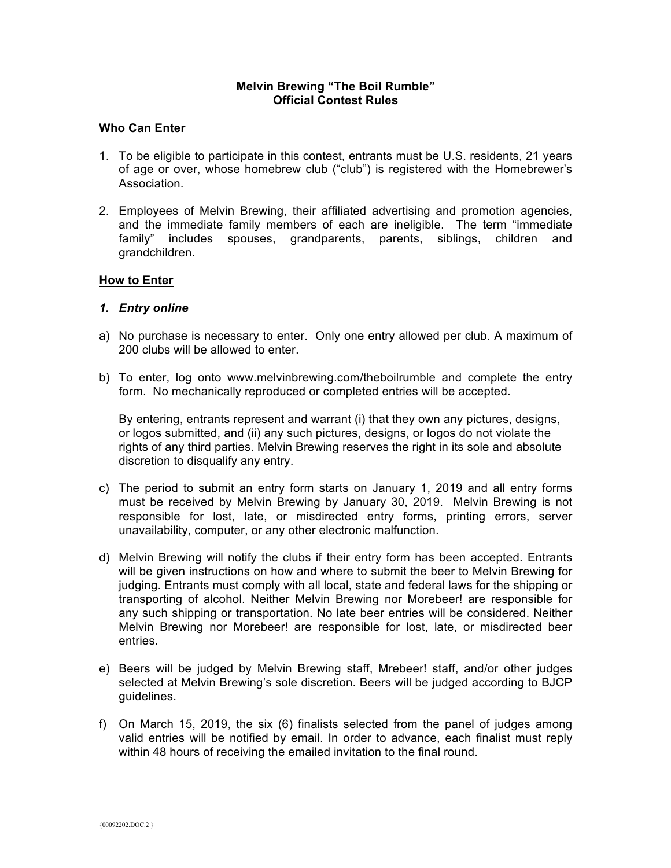## **Melvin Brewing "The Boil Rumble" Official Contest Rules**

### **Who Can Enter**

- 1. To be eligible to participate in this contest, entrants must be U.S. residents, 21 years of age or over, whose homebrew club ("club") is registered with the Homebrewer's Association.
- 2. Employees of Melvin Brewing, their affiliated advertising and promotion agencies, and the immediate family members of each are ineligible. The term "immediate family" includes spouses, grandparents, parents, siblings, children and grandchildren.

#### **How to Enter**

#### *1. Entry online*

- a) No purchase is necessary to enter. Only one entry allowed per club. A maximum of 200 clubs will be allowed to enter.
- b) To enter, log onto www.melvinbrewing.com/theboilrumble and complete the entry form. No mechanically reproduced or completed entries will be accepted.

By entering, entrants represent and warrant (i) that they own any pictures, designs, or logos submitted, and (ii) any such pictures, designs, or logos do not violate the rights of any third parties. Melvin Brewing reserves the right in its sole and absolute discretion to disqualify any entry.

- c) The period to submit an entry form starts on January 1, 2019 and all entry forms must be received by Melvin Brewing by January 30, 2019. Melvin Brewing is not responsible for lost, late, or misdirected entry forms, printing errors, server unavailability, computer, or any other electronic malfunction.
- d) Melvin Brewing will notify the clubs if their entry form has been accepted. Entrants will be given instructions on how and where to submit the beer to Melvin Brewing for judging. Entrants must comply with all local, state and federal laws for the shipping or transporting of alcohol. Neither Melvin Brewing nor Morebeer! are responsible for any such shipping or transportation. No late beer entries will be considered. Neither Melvin Brewing nor Morebeer! are responsible for lost, late, or misdirected beer entries.
- e) Beers will be judged by Melvin Brewing staff, Mrebeer! staff, and/or other judges selected at Melvin Brewing's sole discretion. Beers will be judged according to BJCP guidelines.
- f) On March 15, 2019, the six (6) finalists selected from the panel of judges among valid entries will be notified by email. In order to advance, each finalist must reply within 48 hours of receiving the emailed invitation to the final round.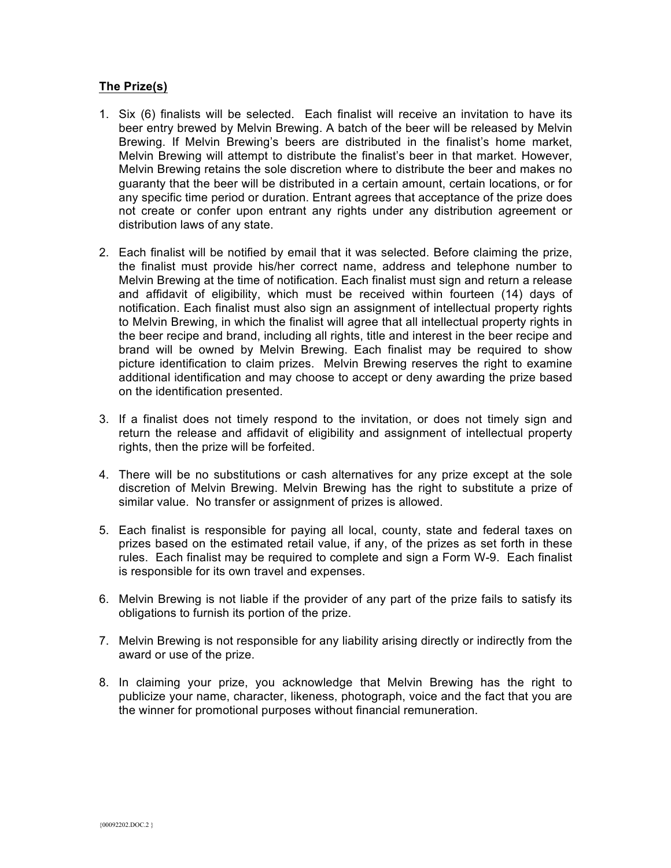# **The Prize(s)**

- 1. Six (6) finalists will be selected. Each finalist will receive an invitation to have its beer entry brewed by Melvin Brewing. A batch of the beer will be released by Melvin Brewing. If Melvin Brewing's beers are distributed in the finalist's home market, Melvin Brewing will attempt to distribute the finalist's beer in that market. However, Melvin Brewing retains the sole discretion where to distribute the beer and makes no guaranty that the beer will be distributed in a certain amount, certain locations, or for any specific time period or duration. Entrant agrees that acceptance of the prize does not create or confer upon entrant any rights under any distribution agreement or distribution laws of any state.
- 2. Each finalist will be notified by email that it was selected. Before claiming the prize, the finalist must provide his/her correct name, address and telephone number to Melvin Brewing at the time of notification. Each finalist must sign and return a release and affidavit of eligibility, which must be received within fourteen (14) days of notification. Each finalist must also sign an assignment of intellectual property rights to Melvin Brewing, in which the finalist will agree that all intellectual property rights in the beer recipe and brand, including all rights, title and interest in the beer recipe and brand will be owned by Melvin Brewing. Each finalist may be required to show picture identification to claim prizes. Melvin Brewing reserves the right to examine additional identification and may choose to accept or deny awarding the prize based on the identification presented.
- 3. If a finalist does not timely respond to the invitation, or does not timely sign and return the release and affidavit of eligibility and assignment of intellectual property rights, then the prize will be forfeited.
- 4. There will be no substitutions or cash alternatives for any prize except at the sole discretion of Melvin Brewing. Melvin Brewing has the right to substitute a prize of similar value. No transfer or assignment of prizes is allowed.
- 5. Each finalist is responsible for paying all local, county, state and federal taxes on prizes based on the estimated retail value, if any, of the prizes as set forth in these rules. Each finalist may be required to complete and sign a Form W-9. Each finalist is responsible for its own travel and expenses.
- 6. Melvin Brewing is not liable if the provider of any part of the prize fails to satisfy its obligations to furnish its portion of the prize.
- 7. Melvin Brewing is not responsible for any liability arising directly or indirectly from the award or use of the prize.
- 8. In claiming your prize, you acknowledge that Melvin Brewing has the right to publicize your name, character, likeness, photograph, voice and the fact that you are the winner for promotional purposes without financial remuneration.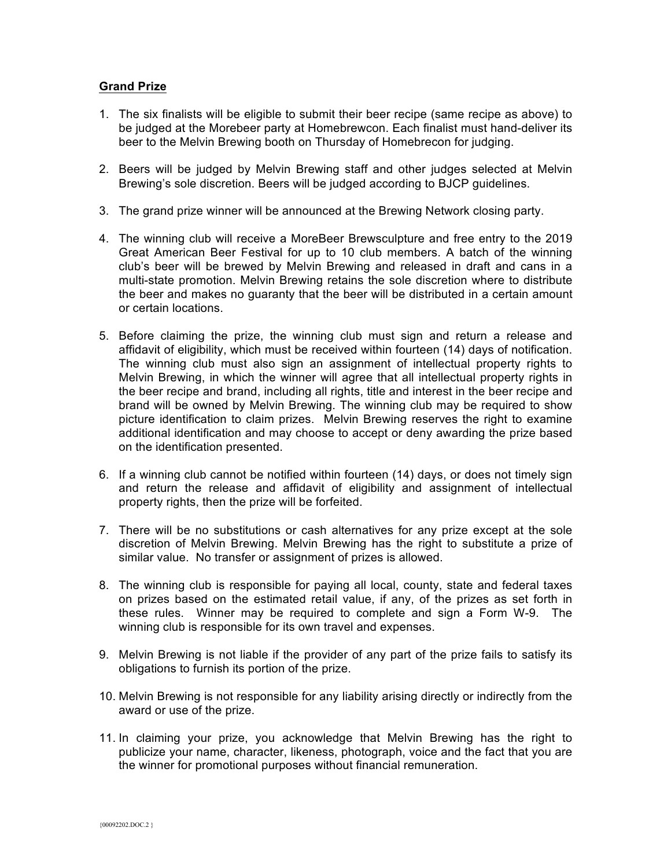# **Grand Prize**

- 1. The six finalists will be eligible to submit their beer recipe (same recipe as above) to be judged at the Morebeer party at Homebrewcon. Each finalist must hand-deliver its beer to the Melvin Brewing booth on Thursday of Homebrecon for judging.
- 2. Beers will be judged by Melvin Brewing staff and other judges selected at Melvin Brewing's sole discretion. Beers will be judged according to BJCP guidelines.
- 3. The grand prize winner will be announced at the Brewing Network closing party.
- 4. The winning club will receive a MoreBeer Brewsculpture and free entry to the 2019 Great American Beer Festival for up to 10 club members. A batch of the winning club's beer will be brewed by Melvin Brewing and released in draft and cans in a multi-state promotion. Melvin Brewing retains the sole discretion where to distribute the beer and makes no guaranty that the beer will be distributed in a certain amount or certain locations.
- 5. Before claiming the prize, the winning club must sign and return a release and affidavit of eligibility, which must be received within fourteen (14) days of notification. The winning club must also sign an assignment of intellectual property rights to Melvin Brewing, in which the winner will agree that all intellectual property rights in the beer recipe and brand, including all rights, title and interest in the beer recipe and brand will be owned by Melvin Brewing. The winning club may be required to show picture identification to claim prizes. Melvin Brewing reserves the right to examine additional identification and may choose to accept or deny awarding the prize based on the identification presented.
- 6. If a winning club cannot be notified within fourteen (14) days, or does not timely sign and return the release and affidavit of eligibility and assignment of intellectual property rights, then the prize will be forfeited.
- 7. There will be no substitutions or cash alternatives for any prize except at the sole discretion of Melvin Brewing. Melvin Brewing has the right to substitute a prize of similar value. No transfer or assignment of prizes is allowed.
- 8. The winning club is responsible for paying all local, county, state and federal taxes on prizes based on the estimated retail value, if any, of the prizes as set forth in these rules. Winner may be required to complete and sign a Form W-9. The winning club is responsible for its own travel and expenses.
- 9. Melvin Brewing is not liable if the provider of any part of the prize fails to satisfy its obligations to furnish its portion of the prize.
- 10. Melvin Brewing is not responsible for any liability arising directly or indirectly from the award or use of the prize.
- 11. In claiming your prize, you acknowledge that Melvin Brewing has the right to publicize your name, character, likeness, photograph, voice and the fact that you are the winner for promotional purposes without financial remuneration.